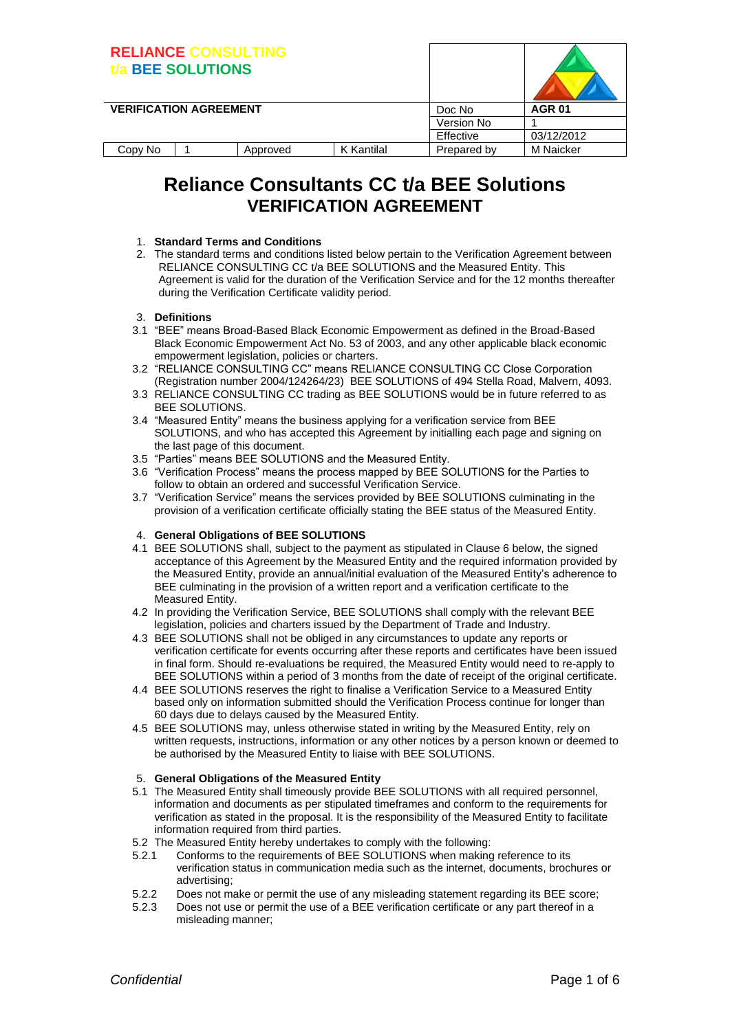| <b>RELIANCE CONSULTING</b>    | <b>BEE SOLUTIONS</b> |          |                   |             |                  |
|-------------------------------|----------------------|----------|-------------------|-------------|------------------|
| <b>VERIFICATION AGREEMENT</b> |                      |          |                   | Doc No      | <b>AGR 01</b>    |
|                               |                      |          |                   | Version No  |                  |
|                               |                      |          |                   | Effective   | 03/12/2012       |
| Copy No                       |                      | Approved | <b>K</b> Kantilal | Prepared by | <b>M</b> Naicker |

# **Reliance Consultants CC t/a BEE Solutions VERIFICATION AGREEMENT**

#### 1. **Standard Terms and Conditions**

2. The standard terms and conditions listed below pertain to the Verification Agreement between RELIANCE CONSULTING CC t/a BEE SOLUTIONS and the Measured Entity. This Agreement is valid for the duration of the Verification Service and for the 12 months thereafter during the Verification Certificate validity period.

#### 3. **Definitions**

- 3.1 "BEE" means Broad-Based Black Economic Empowerment as defined in the Broad-Based Black Economic Empowerment Act No. 53 of 2003, and any other applicable black economic empowerment legislation, policies or charters.
- 3.2 "RELIANCE CONSULTING CC" means RELIANCE CONSULTING CC Close Corporation (Registration number 2004/124264/23) BEE SOLUTIONS of 494 Stella Road, Malvern, 4093.
- 3.3 RELIANCE CONSULTING CC trading as BEE SOLUTIONS would be in future referred to as BEE SOLUTIONS.
- 3.4 "Measured Entity" means the business applying for a verification service from BEE SOLUTIONS, and who has accepted this Agreement by initialling each page and signing on the last page of this document.
- 3.5 "Parties" means BEE SOLUTIONS and the Measured Entity.
- 3.6 "Verification Process" means the process mapped by BEE SOLUTIONS for the Parties to follow to obtain an ordered and successful Verification Service.
- 3.7 "Verification Service" means the services provided by BEE SOLUTIONS culminating in the provision of a verification certificate officially stating the BEE status of the Measured Entity.

#### 4. **General Obligations of BEE SOLUTIONS**

- 4.1 BEE SOLUTIONS shall, subject to the payment as stipulated in Clause 6 below, the signed acceptance of this Agreement by the Measured Entity and the required information provided by the Measured Entity, provide an annual/initial evaluation of the Measured Entity's adherence to BEE culminating in the provision of a written report and a verification certificate to the Measured Entity.
- 4.2 In providing the Verification Service, BEE SOLUTIONS shall comply with the relevant BEE legislation, policies and charters issued by the Department of Trade and Industry.
- 4.3 BEE SOLUTIONS shall not be obliged in any circumstances to update any reports or verification certificate for events occurring after these reports and certificates have been issued in final form. Should re-evaluations be required, the Measured Entity would need to re-apply to BEE SOLUTIONS within a period of 3 months from the date of receipt of the original certificate.
- 4.4 BEE SOLUTIONS reserves the right to finalise a Verification Service to a Measured Entity based only on information submitted should the Verification Process continue for longer than 60 days due to delays caused by the Measured Entity.
- 4.5 BEE SOLUTIONS may, unless otherwise stated in writing by the Measured Entity, rely on written requests, instructions, information or any other notices by a person known or deemed to be authorised by the Measured Entity to liaise with BEE SOLUTIONS.

#### 5. **General Obligations of the Measured Entity**

- 5.1 The Measured Entity shall timeously provide BEE SOLUTIONS with all required personnel, information and documents as per stipulated timeframes and conform to the requirements for verification as stated in the proposal. It is the responsibility of the Measured Entity to facilitate information required from third parties.
- 5.2 The Measured Entity hereby undertakes to comply with the following:
- 5.2.1 Conforms to the requirements of BEE SOLUTIONS when making reference to its verification status in communication media such as the internet, documents, brochures or advertising;
- 5.2.2 Does not make or permit the use of any misleading statement regarding its BEE score;
- 5.2.3 Does not use or permit the use of a BEE verification certificate or any part thereof in a misleading manner;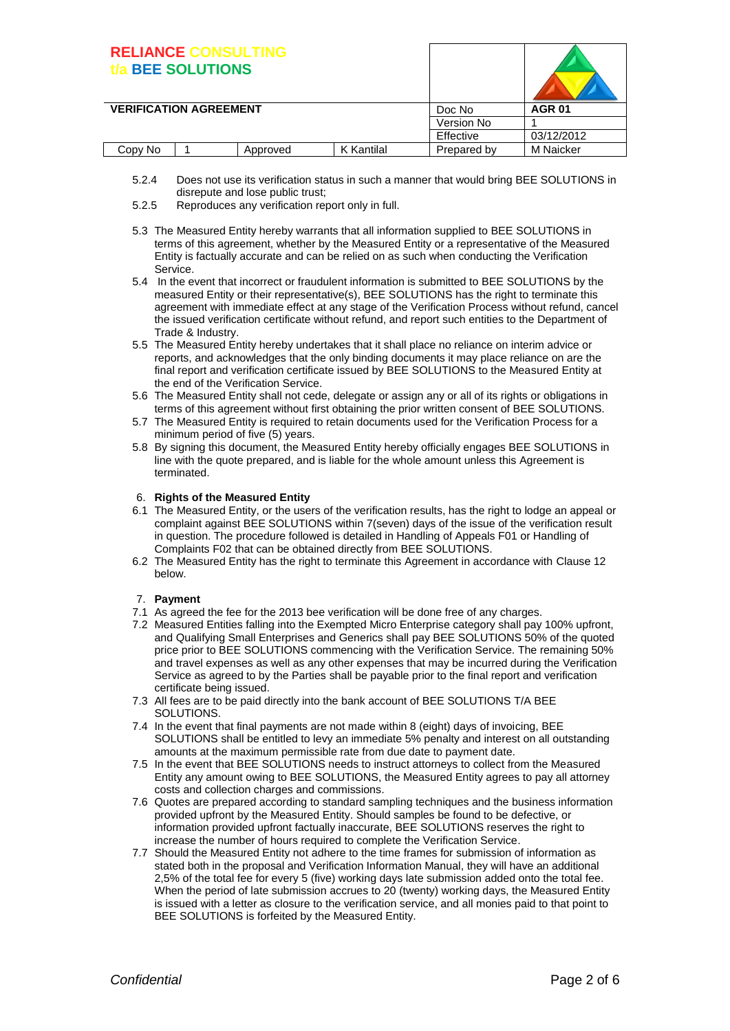# **RELIANCE CONSULTING**

| <b>BEE SOLUTIONS</b>          |          |            |             |               |
|-------------------------------|----------|------------|-------------|---------------|
| <b>VERIFICATION AGREEMENT</b> |          |            | Doc No      | <b>AGR 01</b> |
|                               |          |            | Version No  |               |
|                               |          |            | Effective   | 03/12/2012    |
| Copy No                       | Approved | K Kantilal | Prepared by | M Naicker     |

- 5.2.4 Does not use its verification status in such a manner that would bring BEE SOLUTIONS in disrepute and lose public trust;
- 5.2.5 Reproduces any verification report only in full.
- 5.3 The Measured Entity hereby warrants that all information supplied to BEE SOLUTIONS in terms of this agreement, whether by the Measured Entity or a representative of the Measured Entity is factually accurate and can be relied on as such when conducting the Verification Service.
- 5.4 In the event that incorrect or fraudulent information is submitted to BEE SOLUTIONS by the measured Entity or their representative(s), BEE SOLUTIONS has the right to terminate this agreement with immediate effect at any stage of the Verification Process without refund, cancel the issued verification certificate without refund, and report such entities to the Department of Trade & Industry.
- 5.5 The Measured Entity hereby undertakes that it shall place no reliance on interim advice or reports, and acknowledges that the only binding documents it may place reliance on are the final report and verification certificate issued by BEE SOLUTIONS to the Measured Entity at the end of the Verification Service.
- 5.6 The Measured Entity shall not cede, delegate or assign any or all of its rights or obligations in terms of this agreement without first obtaining the prior written consent of BEE SOLUTIONS.
- 5.7 The Measured Entity is required to retain documents used for the Verification Process for a minimum period of five (5) years.
- 5.8 By signing this document, the Measured Entity hereby officially engages BEE SOLUTIONS in line with the quote prepared, and is liable for the whole amount unless this Agreement is terminated.

#### 6. **Rights of the Measured Entity**

- 6.1 The Measured Entity, or the users of the verification results, has the right to lodge an appeal or complaint against BEE SOLUTIONS within 7(seven) days of the issue of the verification result in question. The procedure followed is detailed in Handling of Appeals F01 or Handling of Complaints F02 that can be obtained directly from BEE SOLUTIONS.
- 6.2 The Measured Entity has the right to terminate this Agreement in accordance with Clause 12 below.

#### 7. **Payment**

- 7.1 As agreed the fee for the 2013 bee verification will be done free of any charges.
- 7.2 Measured Entities falling into the Exempted Micro Enterprise category shall pay 100% upfront, and Qualifying Small Enterprises and Generics shall pay BEE SOLUTIONS 50% of the quoted price prior to BEE SOLUTIONS commencing with the Verification Service. The remaining 50% and travel expenses as well as any other expenses that may be incurred during the Verification Service as agreed to by the Parties shall be payable prior to the final report and verification certificate being issued.
- 7.3 All fees are to be paid directly into the bank account of BEE SOLUTIONS T/A BEE SOLUTIONS.
- 7.4 In the event that final payments are not made within 8 (eight) days of invoicing, BEE SOLUTIONS shall be entitled to levy an immediate 5% penalty and interest on all outstanding amounts at the maximum permissible rate from due date to payment date.
- 7.5 In the event that BEE SOLUTIONS needs to instruct attorneys to collect from the Measured Entity any amount owing to BEE SOLUTIONS, the Measured Entity agrees to pay all attorney costs and collection charges and commissions.
- 7.6 Quotes are prepared according to standard sampling techniques and the business information provided upfront by the Measured Entity. Should samples be found to be defective, or information provided upfront factually inaccurate, BEE SOLUTIONS reserves the right to increase the number of hours required to complete the Verification Service.
- 7.7 Should the Measured Entity not adhere to the time frames for submission of information as stated both in the proposal and Verification Information Manual, they will have an additional 2,5% of the total fee for every 5 (five) working days late submission added onto the total fee. When the period of late submission accrues to 20 (twenty) working days, the Measured Entity is issued with a letter as closure to the verification service, and all monies paid to that point to BEE SOLUTIONS is forfeited by the Measured Entity.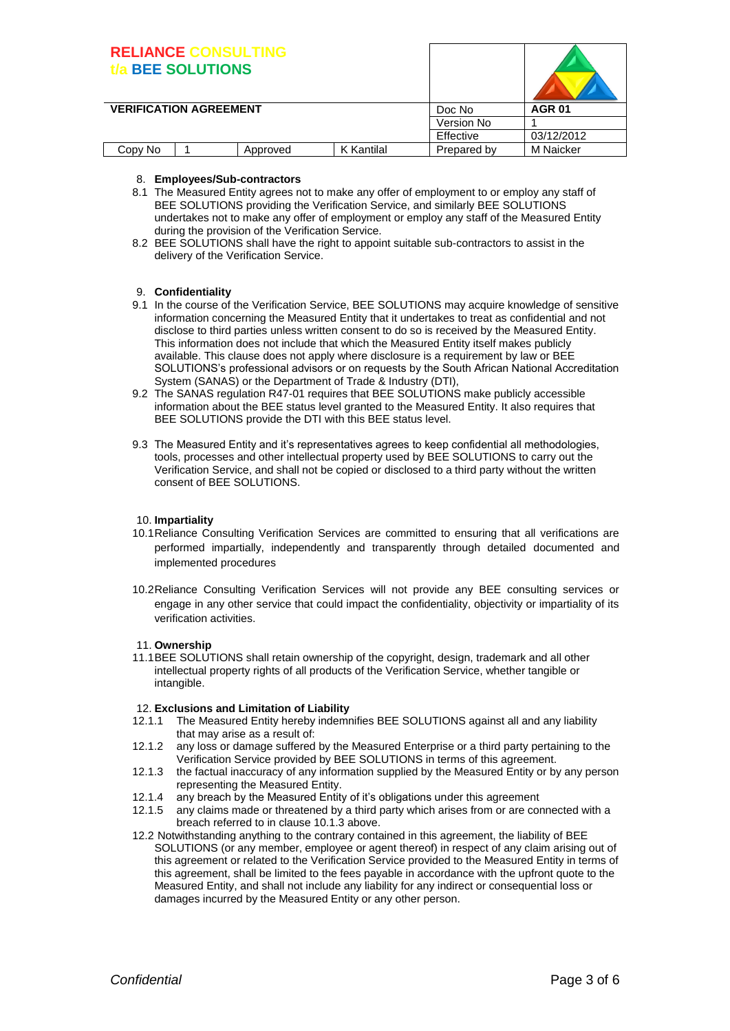## **RELIANCE CONSULTING t/a BEE SOLUTIONS**

| BELIANGE GONOGETHIS<br><b>BEE SOLUTIONS</b> |          |            |               |                  |
|---------------------------------------------|----------|------------|---------------|------------------|
| <b>VERIFICATION AGREEMENT</b>               |          | Doc No     | <b>AGR 01</b> |                  |
|                                             |          |            | Version No    |                  |
|                                             |          |            | Effective     | 03/12/2012       |
| Copy No                                     | Approved | K Kantilal | Prepared by   | <b>M</b> Naicker |

#### 8. **Employees/Sub-contractors**

- 8.1 The Measured Entity agrees not to make any offer of employment to or employ any staff of BEE SOLUTIONS providing the Verification Service, and similarly BEE SOLUTIONS undertakes not to make any offer of employment or employ any staff of the Measured Entity during the provision of the Verification Service.
- 8.2 BEE SOLUTIONS shall have the right to appoint suitable sub-contractors to assist in the delivery of the Verification Service.

#### 9. **Confidentiality**

- 9.1 In the course of the Verification Service, BEE SOLUTIONS may acquire knowledge of sensitive information concerning the Measured Entity that it undertakes to treat as confidential and not disclose to third parties unless written consent to do so is received by the Measured Entity. This information does not include that which the Measured Entity itself makes publicly available. This clause does not apply where disclosure is a requirement by law or BEE SOLUTIONS's professional advisors or on requests by the South African National Accreditation System (SANAS) or the Department of Trade & Industry (DTI),
- 9.2 The SANAS regulation R47-01 requires that BEE SOLUTIONS make publicly accessible information about the BEE status level granted to the Measured Entity. It also requires that BEE SOLUTIONS provide the DTI with this BEE status level.
- 9.3 The Measured Entity and it's representatives agrees to keep confidential all methodologies, tools, processes and other intellectual property used by BEE SOLUTIONS to carry out the Verification Service, and shall not be copied or disclosed to a third party without the written consent of BEE SOLUTIONS.

#### 10. **Impartiality**

- 10.1Reliance Consulting Verification Services are committed to ensuring that all verifications are performed impartially, independently and transparently through detailed documented and implemented procedures
- 10.2Reliance Consulting Verification Services will not provide any BEE consulting services or engage in any other service that could impact the confidentiality, objectivity or impartiality of its verification activities.

#### 11. **Ownership**

11.1BEE SOLUTIONS shall retain ownership of the copyright, design, trademark and all other intellectual property rights of all products of the Verification Service, whether tangible or intangible.

#### 12. **Exclusions and Limitation of Liability**

- 12.1.1 The Measured Entity hereby indemnifies BEE SOLUTIONS against all and any liability that may arise as a result of:
- 12.1.2 any loss or damage suffered by the Measured Enterprise or a third party pertaining to the Verification Service provided by BEE SOLUTIONS in terms of this agreement.
- 12.1.3 the factual inaccuracy of any information supplied by the Measured Entity or by any person representing the Measured Entity.
- 12.1.4 any breach by the Measured Entity of it's obligations under this agreement
- 12.1.5 any claims made or threatened by a third party which arises from or are connected with a breach referred to in clause 10.1.3 above.
- 12.2 Notwithstanding anything to the contrary contained in this agreement, the liability of BEE SOLUTIONS (or any member, employee or agent thereof) in respect of any claim arising out of this agreement or related to the Verification Service provided to the Measured Entity in terms of this agreement, shall be limited to the fees payable in accordance with the upfront quote to the Measured Entity, and shall not include any liability for any indirect or consequential loss or damages incurred by the Measured Entity or any other person.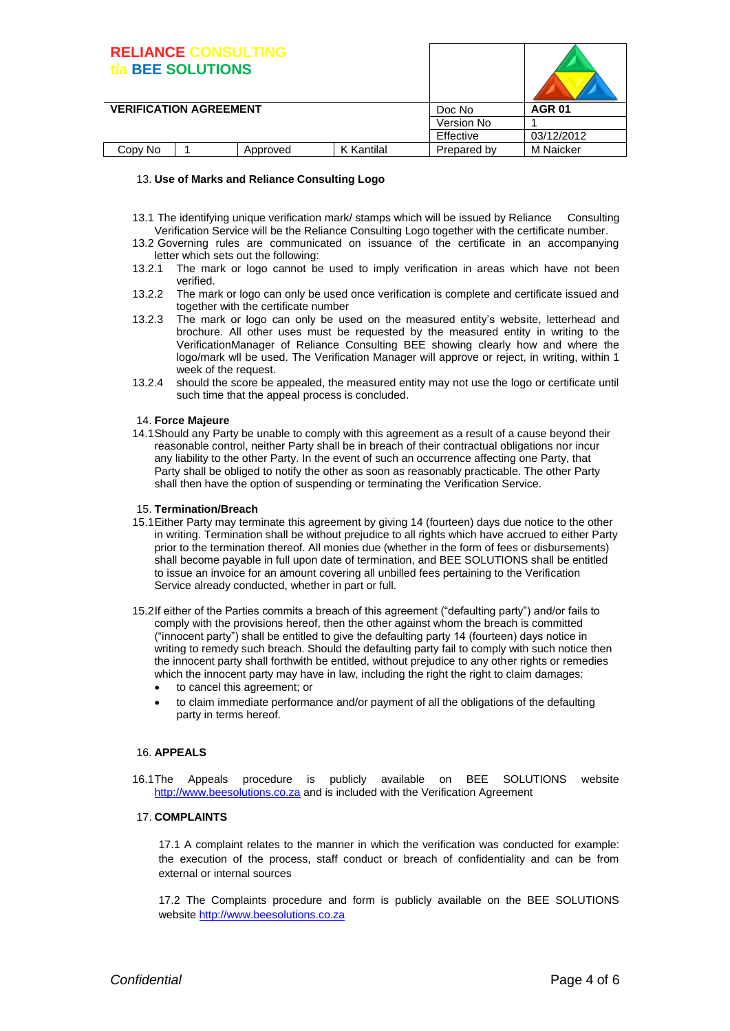| <b>RELIANCE CONSULTING</b>    | <b>BEE SOLUTIONS</b> |          |                   |             |                  |
|-------------------------------|----------------------|----------|-------------------|-------------|------------------|
| <b>VERIFICATION AGREEMENT</b> |                      |          |                   | Doc No      | <b>AGR 01</b>    |
|                               |                      |          |                   | Version No  |                  |
|                               |                      |          |                   | Effective   | 03/12/2012       |
| Copy No                       |                      | Approved | <b>K</b> Kantilal | Prepared by | <b>M</b> Naicker |

#### 13. **Use of Marks and Reliance Consulting Logo**

- 13.1 The identifying unique verification mark/ stamps which will be issued by Reliance Consulting Verification Service will be the Reliance Consulting Logo together with the certificate number.
- 13.2 Governing rules are communicated on issuance of the certificate in an accompanying letter which sets out the following:
- 13.2.1 The mark or logo cannot be used to imply verification in areas which have not been verified.
- 13.2.2 The mark or logo can only be used once verification is complete and certificate issued and together with the certificate number
- 13.2.3 The mark or logo can only be used on the measured entity's website, letterhead and brochure. All other uses must be requested by the measured entity in writing to the VerificationManager of Reliance Consulting BEE showing clearly how and where the logo/mark wll be used. The Verification Manager will approve or reject, in writing, within 1 week of the request.
- 13.2.4 should the score be appealed, the measured entity may not use the logo or certificate until such time that the appeal process is concluded.

#### 14. **Force Majeure**

14.1Should any Party be unable to comply with this agreement as a result of a cause beyond their reasonable control, neither Party shall be in breach of their contractual obligations nor incur any liability to the other Party. In the event of such an occurrence affecting one Party, that Party shall be obliged to notify the other as soon as reasonably practicable. The other Party shall then have the option of suspending or terminating the Verification Service.

#### 15. **Termination/Breach**

- 15.1Either Party may terminate this agreement by giving 14 (fourteen) days due notice to the other in writing. Termination shall be without prejudice to all rights which have accrued to either Party prior to the termination thereof. All monies due (whether in the form of fees or disbursements) shall become payable in full upon date of termination, and BEE SOLUTIONS shall be entitled to issue an invoice for an amount covering all unbilled fees pertaining to the Verification Service already conducted, whether in part or full.
- 15.2If either of the Parties commits a breach of this agreement ("defaulting party") and/or fails to comply with the provisions hereof, then the other against whom the breach is committed ("innocent party") shall be entitled to give the defaulting party 14 (fourteen) days notice in writing to remedy such breach. Should the defaulting party fail to comply with such notice then the innocent party shall forthwith be entitled, without prejudice to any other rights or remedies which the innocent party may have in law, including the right the right to claim damages:
	- to cancel this agreement; or
	- to claim immediate performance and/or payment of all the obligations of the defaulting party in terms hereof.

#### 16. **APPEALS**

16.1The Appeals procedure is publicly available on BEE SOLUTIONS website [http://www.beesolutions.co.za](http://www.beesolutions.co.za/) and is included with the Verification Agreement

#### 17. **COMPLAINTS**

17.1 A complaint relates to the manner in which the verification was conducted for example: the execution of the process, staff conduct or breach of confidentiality and can be from external or internal sources

17.2 The Complaints procedure and form is publicly available on the BEE SOLUTIONS website [http://www.beesolutions.co.za](http://www.beesolutions.co.za/)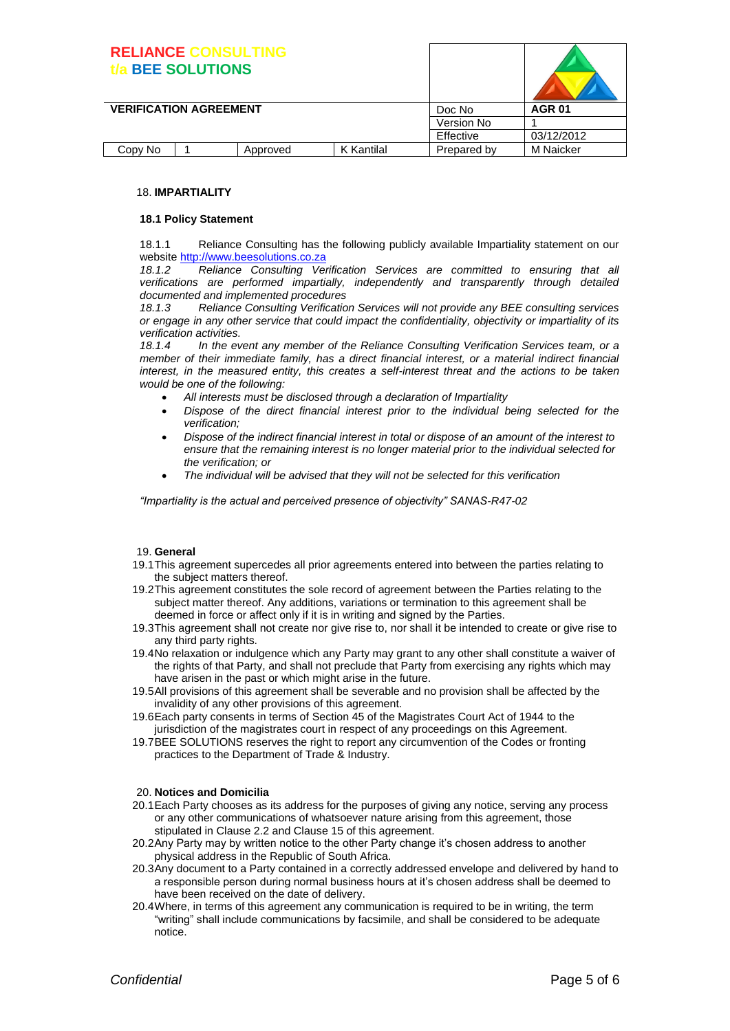### **RELIANCE CONSULTING t/a BEE SOLUTIONS**

|                               | <b>BEE SOLUTIONS</b> |          |            |             |                  |
|-------------------------------|----------------------|----------|------------|-------------|------------------|
| <b>VERIFICATION AGREEMENT</b> |                      |          |            | Doc No      | <b>AGR 01</b>    |
|                               |                      |          |            | Version No  |                  |
|                               |                      |          |            | Effective   | 03/12/2012       |
| Copy No                       |                      | Approved | K Kantilal | Prepared by | <b>M</b> Naicker |

#### 18. **IMPARTIALITY**

#### **18.1 Policy Statement**

18.1.1 Reliance Consulting has the following publicly available Impartiality statement on our website [http://www.beesolutions.co.za](http://www.beesolutions.co.za/) 

*18.1.2 Reliance Consulting Verification Services are committed to ensuring that all verifications are performed impartially, independently and transparently through detailed documented and implemented procedures* 

*18.1.3 Reliance Consulting Verification Services will not provide any BEE consulting services or engage in any other service that could impact the confidentiality, objectivity or impartiality of its verification activities.*

*18.1.4 In the event any member of the Reliance Consulting Verification Services team, or a member of their immediate family, has a direct financial interest, or a material indirect financial interest, in the measured entity, this creates a self-interest threat and the actions to be taken would be one of the following:*

- *All interests must be disclosed through a declaration of Impartiality*
- *Dispose of the direct financial interest prior to the individual being selected for the verification;*
- *Dispose of the indirect financial interest in total or dispose of an amount of the interest to ensure that the remaining interest is no longer material prior to the individual selected for the verification; or*
- *The individual will be advised that they will not be selected for this verification*

*"Impartiality is the actual and perceived presence of objectivity" SANAS-R47-02*

#### 19. **General**

- 19.1This agreement supercedes all prior agreements entered into between the parties relating to the subject matters thereof.
- 19.2This agreement constitutes the sole record of agreement between the Parties relating to the subject matter thereof. Any additions, variations or termination to this agreement shall be deemed in force or affect only if it is in writing and signed by the Parties.
- 19.3This agreement shall not create nor give rise to, nor shall it be intended to create or give rise to any third party rights.
- 19.4No relaxation or indulgence which any Party may grant to any other shall constitute a waiver of the rights of that Party, and shall not preclude that Party from exercising any rights which may have arisen in the past or which might arise in the future.
- 19.5All provisions of this agreement shall be severable and no provision shall be affected by the invalidity of any other provisions of this agreement.
- 19.6Each party consents in terms of Section 45 of the Magistrates Court Act of 1944 to the jurisdiction of the magistrates court in respect of any proceedings on this Agreement.
- 19.7BEE SOLUTIONS reserves the right to report any circumvention of the Codes or fronting practices to the Department of Trade & Industry.

#### 20. **Notices and Domicilia**

- 20.1Each Party chooses as its address for the purposes of giving any notice, serving any process or any other communications of whatsoever nature arising from this agreement, those stipulated in Clause 2.2 and Clause 15 of this agreement.
- 20.2Any Party may by written notice to the other Party change it's chosen address to another physical address in the Republic of South Africa.
- 20.3Any document to a Party contained in a correctly addressed envelope and delivered by hand to a responsible person during normal business hours at it's chosen address shall be deemed to have been received on the date of delivery.
- 20.4Where, in terms of this agreement any communication is required to be in writing, the term "writing" shall include communications by facsimile, and shall be considered to be adequate notice.